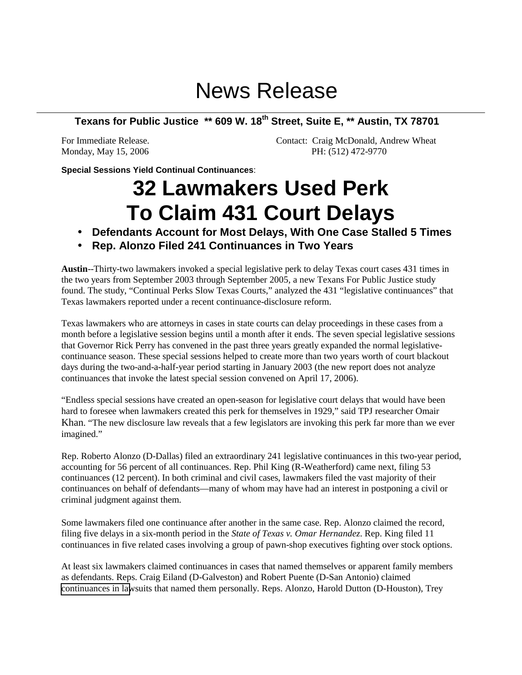## News Release

## **Texans for Public Justice \*\* 609 W. 18th Street, Suite E, \*\* Austin, TX 78701**

For Immediate Release. Contact: Craig McDonald, Andrew Wheat Monday, May 15, 2006 PH: (512) 472-9770

**Special Sessions Yield Continual Continuances**:

## **32 Lawmakers Used Perk To Claim 431 Court Delays**

- **Defendants Account for Most Delays, With One Case Stalled 5 Times**
- **Rep. Alonzo Filed 241 Continuances in Two Years**

**Austin**--Thirty-two lawmakers invoked a special legislative perk to delay Texas court cases 431 times in the two years from September 2003 through September 2005, a new Texans For Public Justice study found. The study, "Continual Perks Slow Texas Courts," analyzed the 431 "legislative continuances" that Texas lawmakers reported under a recent continuance-disclosure reform.

Texas lawmakers who are attorneys in cases in state courts can delay proceedings in these cases from a month before a legislative session begins until a month after it ends. The seven special legislative sessions that Governor Rick Perry has convened in the past three years greatly expanded the normal legislativecontinuance season. These special sessions helped to create more than two years worth of court blackout days during the two-and-a-half-year period starting in January 2003 (the new report does not analyze continuances that invoke the latest special session convened on April 17, 2006).

"Endless special sessions have created an open-season for legislative court delays that would have been hard to foresee when lawmakers created this perk for themselves in 1929," said TPJ researcher Omair Khan. "The new disclosure law reveals that a few legislators are invoking this perk far more than we ever imagined."

Rep. Roberto Alonzo (D-Dallas) filed an extraordinary 241 legislative continuances in this two-year period, accounting for 56 percent of all continuances. Rep. Phil King (R-Weatherford) came next, filing 53 continuances (12 percent). In both criminal and civil cases, lawmakers filed the vast majority of their continuances on behalf of defendants—many of whom may have had an interest in postponing a civil or criminal judgment against them.

Some lawmakers filed one continuance after another in the same case. Rep. Alonzo claimed the record, filing five delays in a six-month period in the *State of Texas v. Omar Hernandez*. Rep. King filed 11 continuances in five related cases involving a group of pawn-shop executives fighting over stock options.

At least six lawmakers claimed continuances in cases that named themselves or apparent family members as defendants. Reps. Craig Eiland (D-Galveston) and Robert Puente (D-San Antonio) claimed [continuances in law](http://www.tpj.org/reports/legecontinuances/index.html)suits that named them personally. Reps. Alonzo, Harold Dutton (D-Houston), Trey